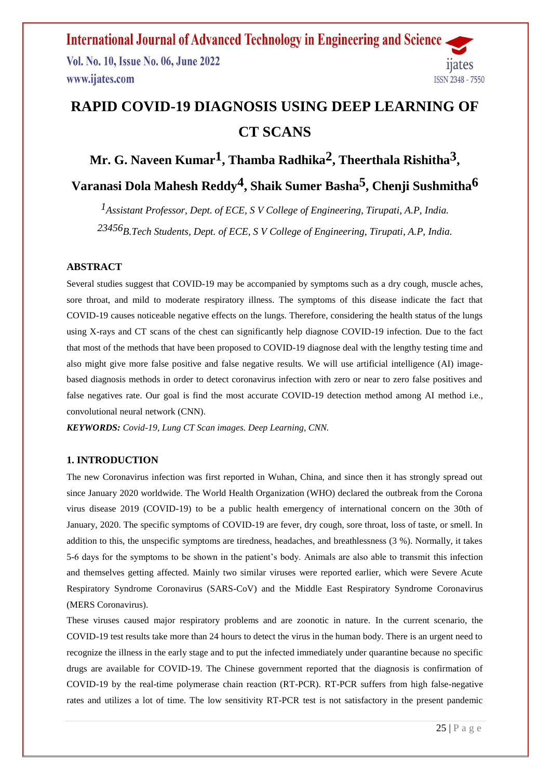**International Journal of Advanced Technology in Engineering and Science** Vol. No. 10, Issue No. 06, June 2022 11ates www.ijates.com ISSN 2348 - 7550

# **RAPID COVID-19 DIAGNOSIS USING DEEP LEARNING OF CT SCANS**

## **Mr. G. Naveen Kumar1, Thamba Radhika2, Theerthala Rishitha3 ,**

**Varanasi Dola Mahesh Reddy4, Shaik Sumer Basha5, Chenji Sushmitha6**

*1Assistant Professor, Dept. of ECE, S V College of Engineering, Tirupati, A.P, India. 23456B.Tech Students, Dept. of ECE, S V College of Engineering, Tirupati, A.P, India.*

#### **ABSTRACT**

Several studies suggest that COVID-19 may be accompanied by symptoms such as a dry cough, muscle aches, sore throat, and mild to moderate respiratory illness. The symptoms of this disease indicate the fact that COVID-19 causes noticeable negative effects on the lungs. Therefore, considering the health status of the lungs using X-rays and CT scans of the chest can significantly help diagnose COVID-19 infection. Due to the fact that most of the methods that have been proposed to COVID-19 diagnose deal with the lengthy testing time and also might give more false positive and false negative results. We will use artificial intelligence (AI) imagebased diagnosis methods in order to detect coronavirus infection with zero or near to zero false positives and false negatives rate. Our goal is find the most accurate COVID-19 detection method among AI method i.e., convolutional neural network (CNN).

*KEYWORDS: Covid-19, Lung CT Scan images. Deep Learning, CNN.*

## **1. INTRODUCTION**

The new Coronavirus infection was first reported in Wuhan, China, and since then it has strongly spread out since January 2020 worldwide. The World Health Organization (WHO) declared the outbreak from the Corona virus disease 2019 (COVID-19) to be a public health emergency of international concern on the 30th of January, 2020. The specific symptoms of COVID-19 are fever, dry cough, sore throat, loss of taste, or smell. In addition to this, the unspecific symptoms are tiredness, headaches, and breathlessness (3 %). Normally, it takes 5-6 days for the symptoms to be shown in the patient's body. Animals are also able to transmit this infection and themselves getting affected. Mainly two similar viruses were reported earlier, which were Severe Acute Respiratory Syndrome Coronavirus (SARS-CoV) and the Middle East Respiratory Syndrome Coronavirus (MERS Coronavirus).

These viruses caused major respiratory problems and are zoonotic in nature. In the current scenario, the COVID-19 test results take more than 24 hours to detect the virus in the human body. There is an urgent need to recognize the illness in the early stage and to put the infected immediately under quarantine because no specific drugs are available for COVID-19. The Chinese government reported that the diagnosis is confirmation of COVID-19 by the real-time polymerase chain reaction (RT-PCR). RT-PCR suffers from high false-negative rates and utilizes a lot of time. The low sensitivity RT-PCR test is not satisfactory in the present pandemic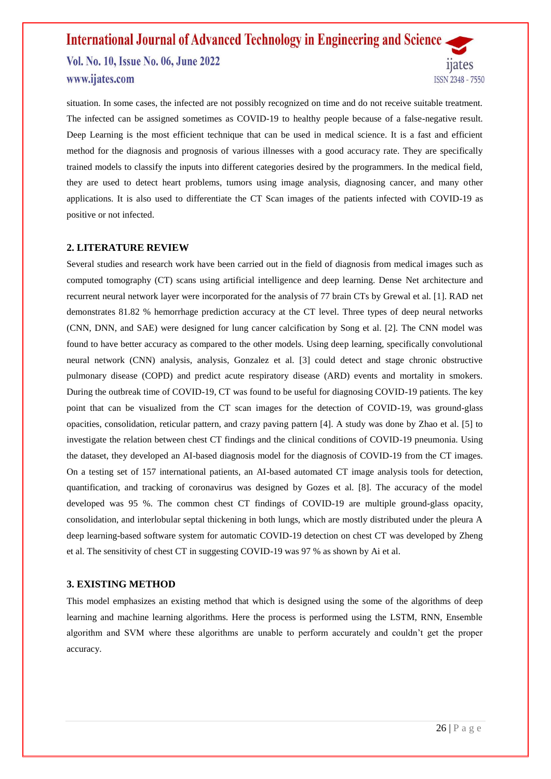## **International Journal of Advanced Technology in Engineering and Science** Vol. No. 10, Issue No. 06, June 2022 11ates www.ijates.com ISSN 2348 - 7550

situation. In some cases, the infected are not possibly recognized on time and do not receive suitable treatment. The infected can be assigned sometimes as COVID-19 to healthy people because of a false-negative result. Deep Learning is the most efficient technique that can be used in medical science. It is a fast and efficient method for the diagnosis and prognosis of various illnesses with a good accuracy rate. They are specifically trained models to classify the inputs into different categories desired by the programmers. In the medical field, they are used to detect heart problems, tumors using image analysis, diagnosing cancer, and many other applications. It is also used to differentiate the CT Scan images of the patients infected with COVID-19 as positive or not infected.

#### **2. LITERATURE REVIEW**

Several studies and research work have been carried out in the field of diagnosis from medical images such as computed tomography (CT) scans using artificial intelligence and deep learning. Dense Net architecture and recurrent neural network layer were incorporated for the analysis of 77 brain CTs by Grewal et al. [1]. RAD net demonstrates 81.82 % hemorrhage prediction accuracy at the CT level. Three types of deep neural networks (CNN, DNN, and SAE) were designed for lung cancer calcification by Song et al. [2]. The CNN model was found to have better accuracy as compared to the other models. Using deep learning, specifically convolutional neural network (CNN) analysis, analysis, Gonzalez et al. [3] could detect and stage chronic obstructive pulmonary disease (COPD) and predict acute respiratory disease (ARD) events and mortality in smokers. During the outbreak time of COVID-19, CT was found to be useful for diagnosing COVID-19 patients. The key point that can be visualized from the CT scan images for the detection of COVID-19, was ground-glass opacities, consolidation, reticular pattern, and crazy paving pattern [4]. A study was done by Zhao et al. [5] to investigate the relation between chest CT findings and the clinical conditions of COVID-19 pneumonia. Using the dataset, they developed an AI-based diagnosis model for the diagnosis of COVID-19 from the CT images. On a testing set of 157 international patients, an AI-based automated CT image analysis tools for detection, quantification, and tracking of coronavirus was designed by Gozes et al. [8]. The accuracy of the model developed was 95 %. The common chest CT findings of COVID-19 are multiple ground-glass opacity, consolidation, and interlobular septal thickening in both lungs, which are mostly distributed under the pleura A deep learning-based software system for automatic COVID-19 detection on chest CT was developed by Zheng et al. The sensitivity of chest CT in suggesting COVID-19 was 97 % as shown by Ai et al.

#### **3. EXISTING METHOD**

This model emphasizes an existing method that which is designed using the some of the algorithms of deep learning and machine learning algorithms. Here the process is performed using the LSTM, RNN, Ensemble algorithm and SVM where these algorithms are unable to perform accurately and couldn't get the proper accuracy.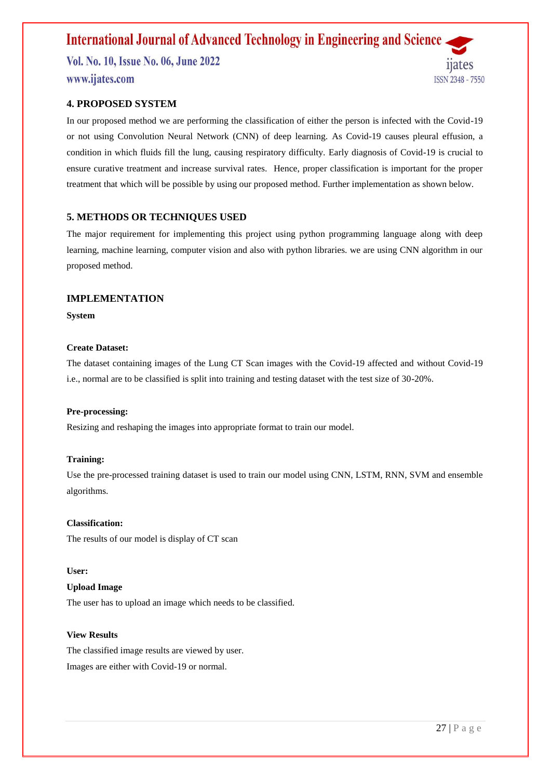## **International Journal of Advanced Technology in Engineering and Science**

Vol. No. 10, Issue No. 06, June 2022 www.ijates.com



### **4. PROPOSED SYSTEM**

In our proposed method we are performing the classification of either the person is infected with the Covid-19 or not using Convolution Neural Network (CNN) of deep learning. As Covid-19 causes pleural effusion, a condition in which fluids fill the lung, causing respiratory difficulty. Early diagnosis of Covid-19 is crucial to ensure curative treatment and increase survival rates. Hence, proper classification is important for the proper treatment that which will be possible by using our proposed method. Further implementation as shown below.

## **5. METHODS OR TECHNIQUES USED**

The major requirement for implementing this project using python programming language along with deep learning, machine learning, computer vision and also with python libraries. we are using CNN algorithm in our proposed method.

#### **IMPLEMENTATION**

**System**

#### **Create Dataset:**

The dataset containing images of the Lung CT Scan images with the Covid-19 affected and without Covid-19 i.e., normal are to be classified is split into training and testing dataset with the test size of 30-20%.

#### **Pre-processing:**

Resizing and reshaping the images into appropriate format to train our model.

#### **Training:**

Use the pre-processed training dataset is used to train our model using CNN, LSTM, RNN, SVM and ensemble algorithms.

#### **Classification:**

The results of our model is display of CT scan

#### **User:**

## **Upload Image**

The user has to upload an image which needs to be classified.

#### **View Results**

The classified image results are viewed by user. Images are either with Covid-19 or normal.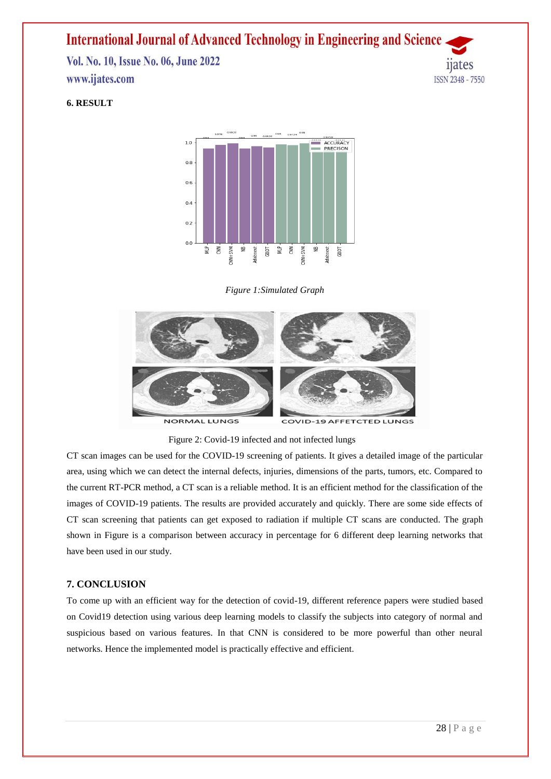## **International Journal of Advanced Technology in Engineering and Science**

Vol. No. 10, Issue No. 06, June 2022 www.ijates.com



## **6. RESULT**



*Figure 1:Simulated Graph*



Figure 2: Covid-19 infected and not infected lungs

CT scan images can be used for the COVID-19 screening of patients. It gives a detailed image of the particular area, using which we can detect the internal defects, injuries, dimensions of the parts, tumors, etc. Compared to the current RT-PCR method, a CT scan is a reliable method. It is an efficient method for the classification of the images of COVID-19 patients. The results are provided accurately and quickly. There are some side effects of CT scan screening that patients can get exposed to radiation if multiple CT scans are conducted. The graph shown in Figure is a comparison between accuracy in percentage for 6 different deep learning networks that have been used in our study.

#### **7. CONCLUSION**

To come up with an efficient way for the detection of covid-19, different reference papers were studied based on Covid19 detection using various deep learning models to classify the subjects into category of normal and suspicious based on various features. In that CNN is considered to be more powerful than other neural networks. Hence the implemented model is practically effective and efficient.